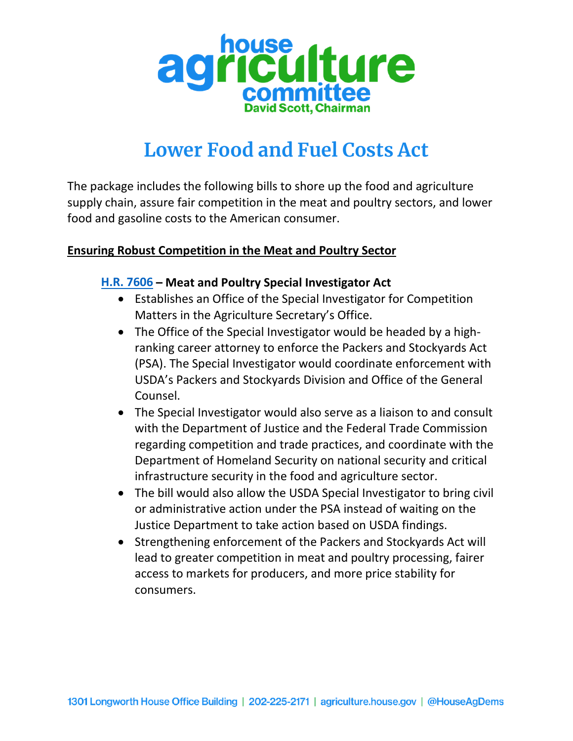

# **Lower Food and Fuel Costs Act**

The package includes the following bills to shore up the food and agriculture supply chain, assure fair competition in the meat and poultry sectors, and lower food and gasoline costs to the American consumer.

#### **Ensuring Robust Competition in the Meat and Poultry Sector**

#### **[H.R. 7606](https://www.congress.gov/bill/117th-congress/house-bill/7606?s=1&r=1) – Meat and Poultry Special Investigator Act**

- Establishes an Office of the Special Investigator for Competition Matters in the Agriculture Secretary's Office.
- The Office of the Special Investigator would be headed by a highranking career attorney to enforce the Packers and Stockyards Act (PSA). The Special Investigator would coordinate enforcement with USDA's Packers and Stockyards Division and Office of the General Counsel.
- The Special Investigator would also serve as a liaison to and consult with the Department of Justice and the Federal Trade Commission regarding competition and trade practices, and coordinate with the Department of Homeland Security on national security and critical infrastructure security in the food and agriculture sector.
- The bill would also allow the USDA Special Investigator to bring civil or administrative action under the PSA instead of waiting on the Justice Department to take action based on USDA findings.
- Strengthening enforcement of the Packers and Stockyards Act will lead to greater competition in meat and poultry processing, fairer access to markets for producers, and more price stability for consumers.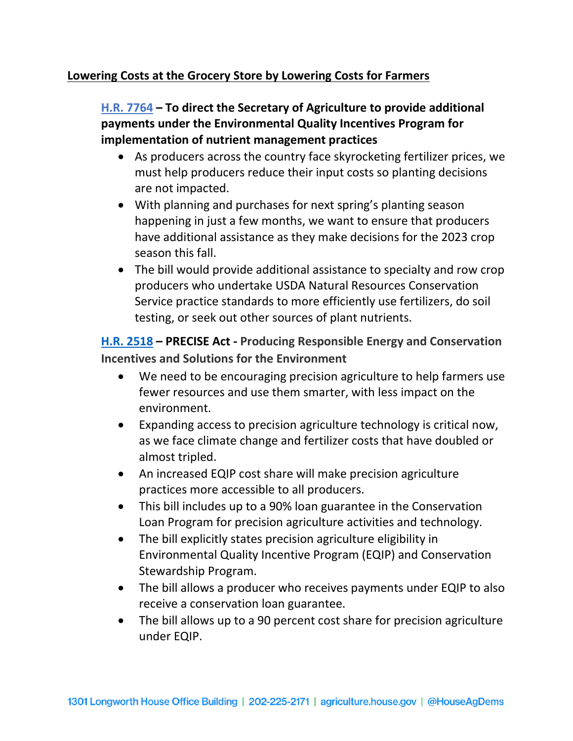#### **Lowering Costs at the Grocery Store by Lowering Costs for Farmers**

# **[H.R. 7764](https://www.congress.gov/bill/117th-congress/house-bill/7764?q=%7B%22search%22%3A%5B%227764%22%2C%227764%22%5D%7D&s=4&r=1) – To direct the Secretary of Agriculture to provide additional payments under the Environmental Quality Incentives Program for implementation of nutrient management practices**

- As producers across the country face skyrocketing fertilizer prices, we must help producers reduce their input costs so planting decisions are not impacted.
- With planning and purchases for next spring's planting season happening in just a few months, we want to ensure that producers have additional assistance as they make decisions for the 2023 crop season this fall.
- The bill would provide additional assistance to specialty and row crop producers who undertake USDA Natural Resources Conservation Service practice standards to more efficiently use fertilizers, do soil testing, or seek out other sources of plant nutrients.

# **[H.R. 2518](https://www.congress.gov/bill/117th-congress/house-bill/2518?q=%7B%22search%22%3A%5B%222518%22%2C%222518%22%5D%7D&s=3&r=2) – PRECISE Act - Producing Responsible Energy and Conservation Incentives and Solutions for the Environment**

- We need to be encouraging precision agriculture to help farmers use fewer resources and use them smarter, with less impact on the environment.
- Expanding access to precision agriculture technology is critical now, as we face climate change and fertilizer costs that have doubled or almost tripled.
- An increased EQIP cost share will make precision agriculture practices more accessible to all producers.
- This bill includes up to a 90% loan guarantee in the Conservation Loan Program for precision agriculture activities and technology.
- The bill explicitly states precision agriculture eligibility in Environmental Quality Incentive Program (EQIP) and Conservation Stewardship Program.
- The bill allows a producer who receives payments under EQIP to also receive a conservation loan guarantee.
- The bill allows up to a 90 percent cost share for precision agriculture under EQIP.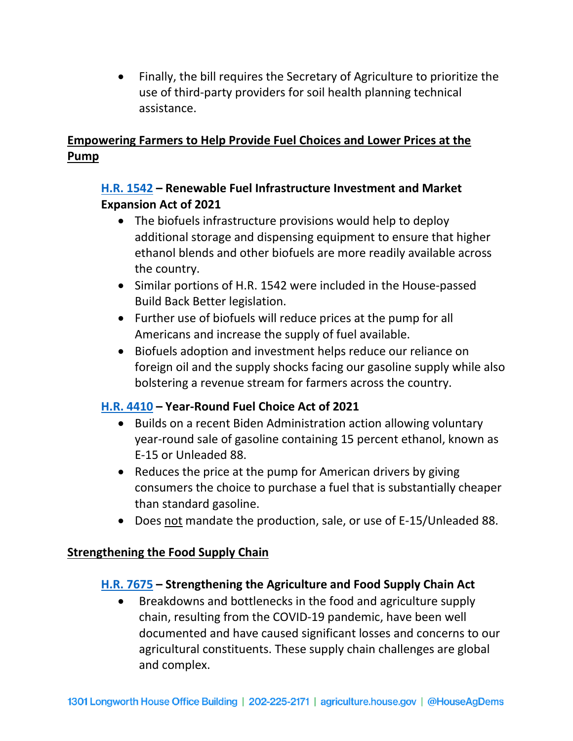• Finally, the bill requires the Secretary of Agriculture to prioritize the use of third-party providers for soil health planning technical assistance.

## **Empowering Farmers to Help Provide Fuel Choices and Lower Prices at the Pump**

#### **[H.R. 1542](https://www.congress.gov/bill/117th-congress/house-bill/1542?s=1&r=8) – Renewable Fuel Infrastructure Investment and Market Expansion Act of 2021**

- The biofuels infrastructure provisions would help to deploy additional storage and dispensing equipment to ensure that higher ethanol blends and other biofuels are more readily available across the country.
- Similar portions of H.R. 1542 were included in the House-passed Build Back Better legislation.
- Further use of biofuels will reduce prices at the pump for all Americans and increase the supply of fuel available.
- Biofuels adoption and investment helps reduce our reliance on foreign oil and the supply shocks facing our gasoline supply while also bolstering a revenue stream for farmers across the country.

## **[H.R. 4410](https://www.congress.gov/bill/117th-congress/house-bill/4410?q=%7B%22search%22%3A%5B%22%22%5D%7D&s=1&r=5) – Year-Round Fuel Choice Act of 2021**

- Builds on a recent Biden Administration action allowing voluntary year-round sale of gasoline containing 15 percent ethanol, known as E-15 or Unleaded 88.
- Reduces the price at the pump for American drivers by giving consumers the choice to purchase a fuel that is substantially cheaper than standard gasoline.
- Does not mandate the production, sale, or use of E-15/Unleaded 88.

#### **Strengthening the Food Supply Chain**

## **[H.R. 7675](https://www.congress.gov/bill/117th-congress/house-bill/7675?s=1&r=1) – Strengthening the Agriculture and Food Supply Chain Act**

• Breakdowns and bottlenecks in the food and agriculture supply chain, resulting from the COVID-19 pandemic, have been well documented and have caused significant losses and concerns to our agricultural constituents. These supply chain challenges are global and complex.